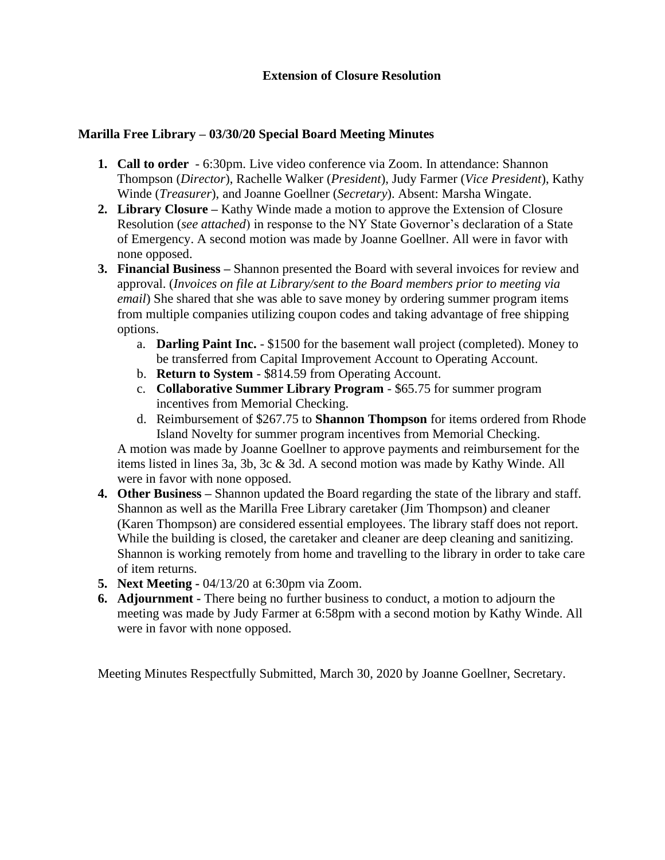## **Marilla Free Library – 03/30/20 Special Board Meeting Minutes**

- **1. Call to order** 6:30pm. Live video conference via Zoom. In attendance: Shannon Thompson (*Director*), Rachelle Walker (*President*), Judy Farmer (*Vice President*), Kathy Winde (*Treasurer*), and Joanne Goellner (*Secretary*). Absent: Marsha Wingate.
- **2. Library Closure –** Kathy Winde made a motion to approve the Extension of Closure Resolution (*see attached*) in response to the NY State Governor's declaration of a State of Emergency. A second motion was made by Joanne Goellner. All were in favor with none opposed.
- **3. Financial Business –** Shannon presented the Board with several invoices for review and approval. (*Invoices on file at Library/sent to the Board members prior to meeting via email*) She shared that she was able to save money by ordering summer program items from multiple companies utilizing coupon codes and taking advantage of free shipping options.
	- a. **Darling Paint Inc.** \$1500 for the basement wall project (completed). Money to be transferred from Capital Improvement Account to Operating Account.
	- b. **Return to System** \$814.59 from Operating Account.
	- c. **Collaborative Summer Library Program** \$65.75 for summer program incentives from Memorial Checking.
	- d. Reimbursement of \$267.75 to **Shannon Thompson** for items ordered from Rhode Island Novelty for summer program incentives from Memorial Checking.

A motion was made by Joanne Goellner to approve payments and reimbursement for the items listed in lines 3a, 3b, 3c & 3d. A second motion was made by Kathy Winde. All were in favor with none opposed.

- **4. Other Business –** Shannon updated the Board regarding the state of the library and staff. Shannon as well as the Marilla Free Library caretaker (Jim Thompson) and cleaner (Karen Thompson) are considered essential employees. The library staff does not report. While the building is closed, the caretaker and cleaner are deep cleaning and sanitizing. Shannon is working remotely from home and travelling to the library in order to take care of item returns.
- **5. Next Meeting -** 04/13/20 at 6:30pm via Zoom.
- **6. Adjournment -** There being no further business to conduct, a motion to adjourn the meeting was made by Judy Farmer at 6:58pm with a second motion by Kathy Winde. All were in favor with none opposed.

Meeting Minutes Respectfully Submitted, March 30, 2020 by Joanne Goellner, Secretary.